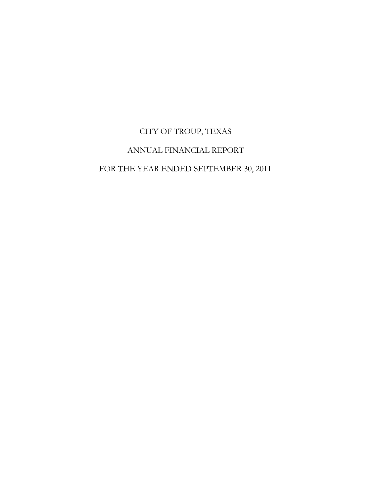# CITY OF TROUP, TEXAS ANNUAL FINANCIAL REPORT FOR THE YEAR ENDED SEPTEMBER 30, 2011

 $\overline{\phantom{a}}$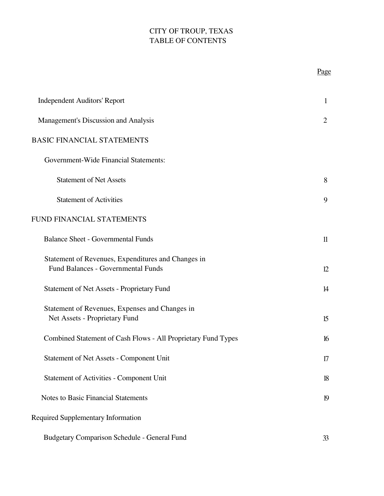# CITY OF TROUP, TEXAS TABLE OF CONTENTS

|                                                                                                 | Page           |
|-------------------------------------------------------------------------------------------------|----------------|
| <b>Independent Auditors' Report</b>                                                             | 1              |
| Management's Discussion and Analysis                                                            | $\overline{2}$ |
| <b>BASIC FINANCIAL STATEMENTS</b>                                                               |                |
| Government-Wide Financial Statements:                                                           |                |
| <b>Statement of Net Assets</b>                                                                  | 8              |
| <b>Statement of Activities</b>                                                                  | 9              |
| FUND FINANCIAL STATEMENTS                                                                       |                |
| <b>Balance Sheet - Governmental Funds</b>                                                       | 11             |
| Statement of Revenues, Expenditures and Changes in<br><b>Fund Balances - Governmental Funds</b> | 12             |
| Statement of Net Assets - Proprietary Fund                                                      | 14             |
| Statement of Revenues, Expenses and Changes in<br>Net Assets - Proprietary Fund                 | 15             |
| Combined Statement of Cash Flows - All Proprietary Fund Types                                   | 16             |
| <b>Statement of Net Assets - Component Unit</b>                                                 | 17             |
| <b>Statement of Activities - Component Unit</b>                                                 | 18             |
| <b>Notes to Basic Financial Statements</b>                                                      | 19             |
| <b>Required Supplementary Information</b>                                                       |                |
| Budgetary Comparison Schedule - General Fund                                                    | 33             |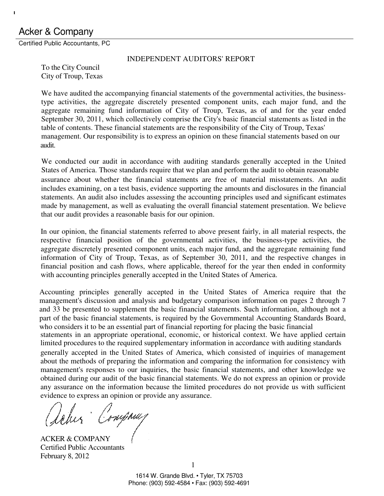# Acker & Company

i

Certified Public Accountants, PC

#### INDEPENDENT AUDITORS' REPORT

To the City Council City of Troup, Texas

We have audited the accompanying financial statements of the governmental activities, the businesstype activities, the aggregate discretely presented component units, each major fund, and the aggregate remaining fund information of City of Troup, Texas, as of and for the year ended September 30, 2011, which collectively comprise the City's basic financial statements as listed in the table of contents. These financial statements are the responsibility of the City of Troup, Texas' management. Our responsibility is to express an opinion on these financial statements based on our audit.

We conducted our audit in accordance with auditing standards generally accepted in the United States of America. Those standards require that we plan and perform the audit to obtain reasonable assurance about whether the financial statements are free of material misstatements. An audit includes examining, on a test basis, evidence supporting the amounts and disclosures in the financial statements. An audit also includes assessing the accounting principles used and significant estimates made by management, as well as evaluating the overall financial statement presentation. We believe that our audit provides a reasonable basis for our opinion.

In our opinion, the financial statements referred to above present fairly, in all material respects, the respective financial position of the governmental activities, the business-type activities, the aggregate discretely presented component units, each major fund, and the aggregate remaining fund information of City of Troup, Texas, as of September 30, 2011, and the respective changes in financial position and cash flows, where applicable, thereof for the year then ended in conformity with accounting principles generally accepted in the United States of America.

Accounting principles generally accepted in the United States of America require that the management's discussion and analysis and budgetary comparison information on pages 2 through 7 and 33 be presented to supplement the basic financial statements. Such information, although not a part of the basic financial statements, is required by the Governmental Accounting Standards Board, who considers it to be an essential part of financial reporting for placing the basic financial statements in an appropriate operational, economic, or historical context. We have applied certain limited procedures to the required supplementary information in accordance with auditing standards generally accepted in the United States of America, which consisted of inquiries of management about the methods of preparing the information and comparing the information for consistency with management's responses to our inquiries, the basic financial statements, and other knowledge we obtained during our audit of the basic financial statements. We do not express an opinion or provide any assurance on the information because the limited procedures do not provide us with sufficient evidence to express an opinion or provide any assurance.

delur Compnus

ACKER & COMPANY Certified Public Accountants February 8, 2012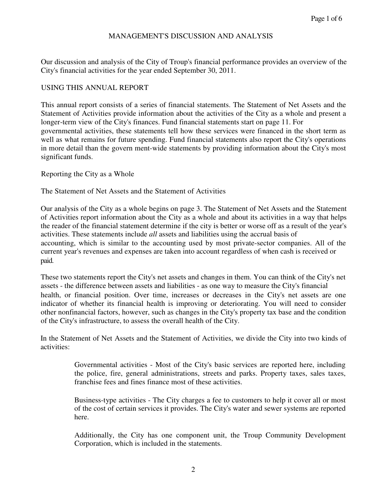Our discussion and analysis of the City of Troup's financial performance provides an overview of the City's financial activities for the year ended September 30, 2011.

#### USING THIS ANNUAL REPORT

This annual report consists of a series of financial statements. The Statement of Net Assets and the Statement of Activities provide information about the activities of the City as a whole and present a longer-term view of the City's finances. Fund financial statements start on page 11. For governmental activities, these statements tell how these services were financed in the short term as well as what remains for future spending. Fund financial statements also report the City's operations in more detail than the govern ment-wide statements by providing information about the City's most significant funds.

Reporting the City as a Whole

The Statement of Net Assets and the Statement of Activities

Our analysis of the City as a whole begins on page 3. The Statement of Net Assets and the Statement of Activities report information about the City as a whole and about its activities in a way that helps the reader of the financial statement determine if the city is better or worse off as a result of the year's activities. These statements include *all* assets and liabilities using the accrual basis of accounting, which is similar to the accounting used by most private-sector companies. All of the current year's revenues and expenses are taken into account regardless of when cash is received or paid.

These two statements report the City's net assets and changes in them. You can think of the City's net assets - the difference between assets and liabilities - as one way to measure the City's financial health, or financial position. Over time, increases or decreases in the City's net assets are one indicator of whether its financial health is improving or deteriorating. You will need to consider other nonfinancial factors, however, such as changes in the City's property tax base and the condition of the City's infrastructure, to assess the overall health of the City.

In the Statement of Net Assets and the Statement of Activities, we divide the City into two kinds of activities:

> Governmental activities - Most of the City's basic services are reported here, including the police, fire, general administrations, streets and parks. Property taxes, sales taxes, franchise fees and fines finance most of these activities.

> Business-type activities - The City charges a fee to customers to help it cover all or most of the cost of certain services it provides. The City's water and sewer systems are reported here.

> Additionally, the City has one component unit, the Troup Community Development Corporation, which is included in the statements.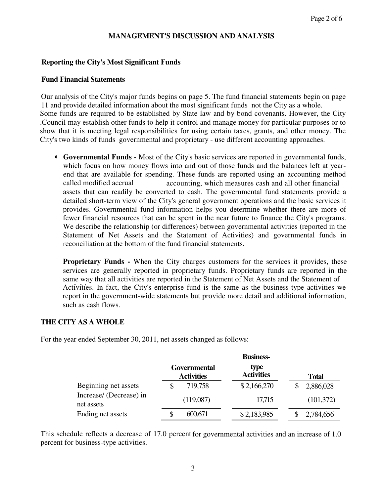#### **Reporting the City's Most Significant Funds**

#### **Fund Financial Statements**

Our analysis of the City's major funds begins on page 5. The fund financial statements begin on page 11 and provide detailed information about the most significant funds not the City as a whole. - Some funds are required to be established by State law and by bond covenants. However, the City .Council may establish other funds to help it control and manage money for particular purposes or to show that it is meeting legal responsibilities for using certain taxes, grants, and other money. The City's two kinds of funds governmental and proprietary - use different accounting approaches.

• **Governmental Funds -** Most of the City's basic services are reported in governmental funds, which focus on how money flows into and out of those funds and the balances left at yearend that are available for spending. These funds are reported using an accounting method called modified accrual accounting, which measures cash and all other financial assets that can readily be converted to cash. The governmental fund statements provide a detailed short-term view of the City's general government operations and the basic services it provides. Governmental fund information helps you determine whether there are more of fewer financial resources that can be spent in the near future to finance the City's programs. We describe the relationship (or differences) between governmental activities (reported in the Statement **of** Net Assets and the Statement of Activities) and governmental funds in reconciliation at the bottom of the fund financial statements.

**Proprietary Funds -** When the City charges customers for the services it provides, these services are generally reported in proprietary funds. Proprietary funds are reported in the same way that all activities are reported in the Statement of Net Assets and the Statement of Activities. In fact, the City's enterprise fund is the same as the business-type activities we report in the government-wide statements but provide more detail and additional information, such as cash flows.

#### **THE CITY AS A WHOLE**

For the year ended September 30, 2011, net assets changed as follows:

|                                       | <b>Business-</b> |                                          |                           |        |              |           |  |  |
|---------------------------------------|------------------|------------------------------------------|---------------------------|--------|--------------|-----------|--|--|
|                                       |                  | <b>Governmental</b><br><b>Activities</b> | type<br><b>Activities</b> |        | <b>Total</b> |           |  |  |
| Beginning net assets                  |                  | 719,758                                  | \$2,166,270               |        |              | 2,886,028 |  |  |
| Increase/ (Decrease) in<br>net assets |                  | (119,087)                                |                           | 17,715 |              | (101,372) |  |  |
| Ending net assets                     |                  | 600,671                                  | \$2,183,985               |        |              | 2,784,656 |  |  |

This schedule reflects a decrease of 17.0 percent for governmental activities and an increase of 1.0 percent for business-type activities.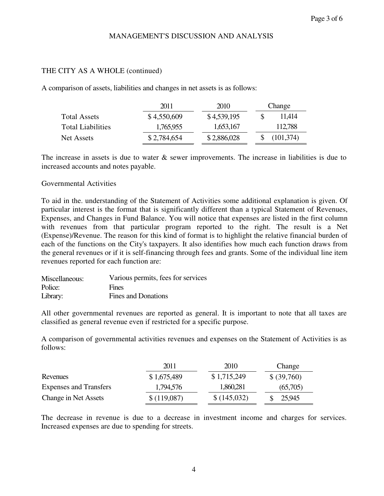## THE CITY AS A WHOLE (continued)

A comparison of assets, liabilities and changes in net assets is as follows:

|                     | 2010<br>2011 |             | Change               |  |
|---------------------|--------------|-------------|----------------------|--|
| <b>Total Assets</b> | \$4,550,609  | \$4,539,195 | 11.414               |  |
| Total Liabilities   | 1,765,955    | 1,653,167   | 112,788              |  |
| Net Assets          | \$2,784,654  | \$2,886,028 | $\frac{101,374}{20}$ |  |

The increase in assets is due to water  $\&$  sewer improvements. The increase in liabilities is due to increased accounts and notes payable.

#### Governmental Activities

To aid in the. understanding of the Statement of Activities some additional explanation is given. Of particular interest is the format that is significantly different than a typical Statement of Revenues, Expenses, and Changes in Fund Balance. You will notice that expenses are listed in the first column with revenues from that particular program reported to the right. The result is a Net (Expense)/Revenue. The reason for this kind of format is to highlight the relative financial burden of each of the functions on the City's taxpayers. It also identifies how much each function draws from the general revenues or if it is self-financing through fees and grants. Some of the individual line item revenues reported for each function are:

| Miscellaneous: | Various permits, fees for services |
|----------------|------------------------------------|
| Police:        | Fines                              |
| Library:       | Fines and Donations                |

All other governmental revenues are reported as general. It is important to note that all taxes are classified as general revenue even if restricted for a specific purpose.

A comparison of governmental activities revenues and expenses on the Statement of Activities is as follows:

|                        | 2011        | 2010        | Change      |
|------------------------|-------------|-------------|-------------|
| Revenues               | \$1,675,489 | \$1,715,249 | \$ (39,760) |
| Expenses and Transfers | 1,794,576   | 1,860,281   | (65,705)    |
| Change in Net Assets   | \$(119,087) | \$(145,032) | 25,945      |

The decrease in revenue is due to a decrease in investment income and charges for services. Increased expenses are due to spending for streets.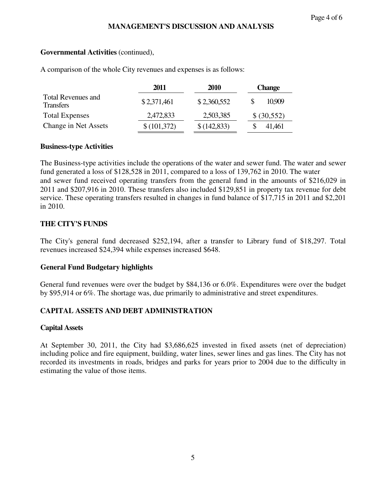#### **Governmental Activities** (continued),

A comparison of the whole City revenues and expenses is as follows:

|                                               | 2011        | 2010        | <b>Change</b> |
|-----------------------------------------------|-------------|-------------|---------------|
| <b>Total Revenues and</b><br><b>Transfers</b> | \$2,371,461 | \$2,360,552 | 10,909        |
| <b>Total Expenses</b>                         | 2,472,833   | 2,503,385   | \$ (30,552)   |
| Change in Net Assets                          | \$(101,372) | \$(142,833) | 41,461        |

#### **Business-type Activities**

The Business-type activities include the operations of the water and sewer fund. The water and sewer fund generated a loss of \$128,528 in 2011, compared to a loss of 139,762 in 2010. The water and sewer fund received operating transfers from the general fund in the amounts of \$216,029 in 2011 and \$207,916 in 2010. These transfers also included \$129,851 in property tax revenue for debt service. These operating transfers resulted in changes in fund balance of \$17,715 in 2011 and \$2,201 in 2010.

#### **THE CITY'S FUNDS**

The City's general fund decreased \$252,194, after a transfer to Library fund of \$18,297. Total revenues increased \$24,394 while expenses increased \$648.

#### **General Fund Budgetary highlights**

General fund revenues were over the budget by \$84,136 or 6.0%. Expenditures were over the budget by \$95,914 or 6%. The shortage was, due primarily to administrative and street expenditures.

#### **CAPITAL ASSETS AND DEBT ADMINISTRATION**

#### **Capital Assets**

At September 30, 2011, the City had \$3,686,625 invested in fixed assets (net of depreciation) including police and fire equipment, building, water lines, sewer lines and gas lines. The City has not recorded its investments in roads, bridges and parks for years prior to 2004 due to the difficulty in estimating the value of those items.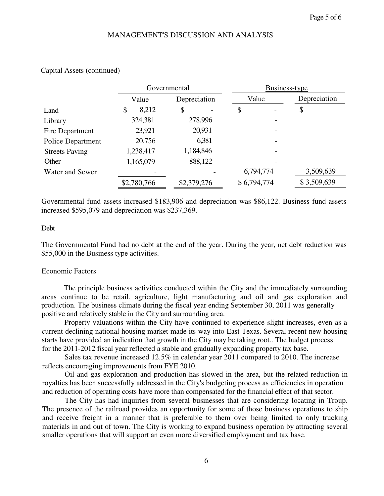|                          |             | Governmental | Business-type |              |  |  |
|--------------------------|-------------|--------------|---------------|--------------|--|--|
|                          | Value       | Depreciation | Value         | Depreciation |  |  |
| Land                     | 8,212<br>\$ | \$           | \$            | \$           |  |  |
| Library                  | 324,381     | 278,996      |               |              |  |  |
| Fire Department          | 23,921      | 20,931       |               |              |  |  |
| <b>Police Department</b> | 20,756      | 6,381        |               |              |  |  |
| <b>Streets Paving</b>    | 1,238,417   | 1,184,846    |               |              |  |  |
| Other                    | 1,165,079   | 888,122      |               |              |  |  |
| Water and Sewer          |             |              | 6,794,774     | 3,509,639    |  |  |
|                          | \$2,780,766 | \$2,379,276  | \$6,794,774   | \$3,509,639  |  |  |
|                          |             |              |               |              |  |  |

#### Capital Assets (continued)

Governmental fund assets increased \$183,906 and depreciation was \$86,122. Business fund assets increased \$595,079 and depreciation was \$237,369.

#### Debt

The Governmental Fund had no debt at the end of the year. During the year, net debt reduction was \$55,000 in the Business type activities.

#### Economic Factors

The principle business activities conducted within the City and the immediately surrounding areas continue to be retail, agriculture, light manufacturing and oil and gas exploration and production. The business climate during the fiscal year ending September 30, 2011 was generally positive and relatively stable in the City and surrounding area.

Property valuations within the City have continued to experience slight increases, even as a current declining national housing market made its way into East Texas. Several recent new housing starts have provided an indication that growth in the City may be taking root.. The budget process for the 2011-2012 fiscal year reflected a stable and gradually expanding property tax base.

Sales tax revenue increased 12.5% in calendar year 2011 compared to 2010. The increase reflects encouraging improvements from FYE 2010.

Oil and gas exploration and production has slowed in the area, but the related reduction in royalties has been successfully addressed in the City's budgeting process as efficiencies in operation and reduction of operating costs have more than compensated for the financial effect of that sector.

The City has had inquiries from several businesses that are considering locating in Troup. The presence of the railroad provides an opportunity for some of those business operations to ship and receive freight in a manner that is preferable to them over being limited to only trucking materials in and out of town. The City is working to expand business operation by attracting several smaller operations that will support an even more diversified employment and tax base.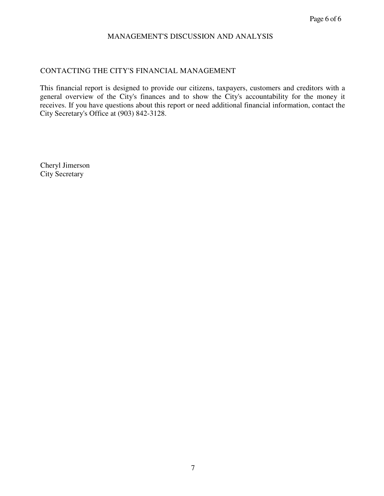## CONTACTING THE CITY'S FINANCIAL MANAGEMENT

This financial report is designed to provide our citizens, taxpayers, customers and creditors with a general overview of the City's finances and to show the City's accountability for the money it receives. If you have questions about this report or need additional financial information, contact the City Secretary's Office at (903) 842-3128.

Cheryl Jimerson City Secretary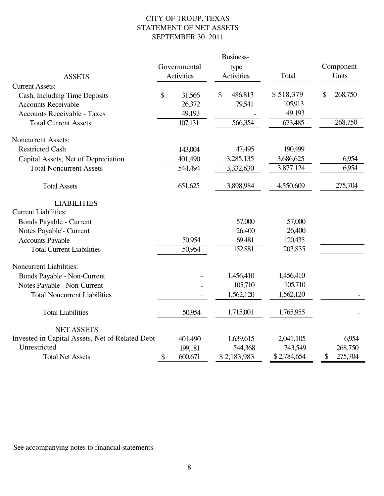# CITY OF TROUP, TEXAS STATEMENT OF NET ASSETS SEPTEMBER 30, 2011

|                                                 |                   | Business-         |             |               |  |
|-------------------------------------------------|-------------------|-------------------|-------------|---------------|--|
|                                                 | Governmental      | type              |             | Component     |  |
| <b>ASSETS</b>                                   | <b>Activities</b> | <b>Activities</b> | Total       | Units         |  |
| <b>Current Assets:</b>                          |                   |                   |             |               |  |
| Cash, Including Time Deposits                   | \$<br>31,566      | \$<br>486,813     | \$518,379   | \$<br>268,750 |  |
| <b>Accounts Receivable</b>                      | 26,372            | 79,541            | 105,913     |               |  |
| <b>Accounts Receivable - Taxes</b>              | 49,193            |                   | 49,193      |               |  |
| <b>Total Current Assets</b>                     | 107,131           | 566,354           | 673,485     | 268,750       |  |
| <b>Noncurrent Assets:</b>                       |                   |                   |             |               |  |
| <b>Restricted Cash</b>                          | 143,004           | 47,495            | 190,499     |               |  |
| Capital Assets, Net of Depreciation             | 401,490           | 3,285,135         | 3,686,625   | 6,954         |  |
| <b>Total Noncurrent Assets</b>                  | 544,494           | 3,332,630         | 3,877,124   | 6,954         |  |
| <b>Total Assets</b>                             | 651,625           | 3,898,984         | 4,550,609   | 275,704       |  |
| <b>LIABILITIES</b>                              |                   |                   |             |               |  |
| <b>Current Liabilities:</b>                     |                   |                   |             |               |  |
| Bonds Payable - Current                         |                   | 57,000            | 57,000      |               |  |
| Notes Payable'- Current                         |                   | 26,400            | 26,400      |               |  |
| <b>Accounts Payable</b>                         | 50,954            | 69,481            | 120,435     |               |  |
| <b>Total Current Liabilities</b>                | 50,954            | 152,881           | 203,835     |               |  |
| <b>Noncurrent Liabilities:</b>                  |                   |                   |             |               |  |
| Bonds Payable - Non-Current                     |                   | 1,456,410         | 1,456,410   |               |  |
| Notes Payable - Non-Current                     |                   | 105,710           | 105,710     |               |  |
| <b>Total Noncurrent Liabilities</b>             |                   | 1,562,120         | 1,562,120   |               |  |
| <b>Total Liabilities</b>                        | 50,954            | 1,715,001         | 1,765,955   |               |  |
| <b>NET ASSETS</b>                               |                   |                   |             |               |  |
| Invested in Capital Assets, Net of Related Debt | 401,490           | 1,639,615         | 2,041,105   | 6,954         |  |
| Unrestricted                                    | 199,181           | 544,368           | 743,549     | 268,750       |  |
| <b>Total Net Assets</b>                         | 600,671<br>\$     | \$2,183,983       | \$2,784,654 | 275,704<br>\$ |  |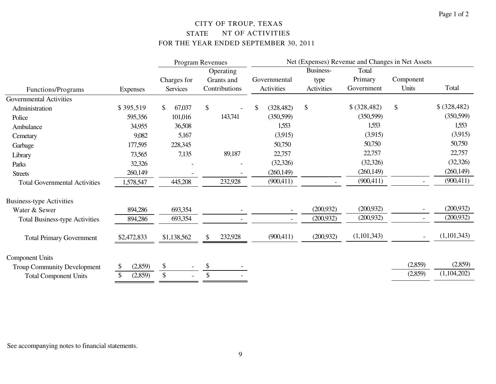## STATE NT OF ACTIVITIESFOR THE YEAR ENDED SEPTEMBER 30, 2011 CITY OF TROUP, TEXAS

|                 |                 |                   | Net (Expenses) Revenue and Changes in Net Assets |            |                                   |               |               |               |
|-----------------|-----------------|-------------------|--------------------------------------------------|------------|-----------------------------------|---------------|---------------|---------------|
|                 |                 | Operating         |                                                  |            | Business-                         | Total         |               |               |
|                 |                 | Grants and        |                                                  |            |                                   | Primary       | Component     |               |
| <b>Expenses</b> | <b>Services</b> | Contributions     |                                                  |            | <b>Activities</b>                 | Government    | Units         | Total         |
|                 |                 |                   |                                                  |            |                                   |               |               |               |
| \$395,519       | 67,037<br>\$.   | \$                | \$                                               | (328, 482) | \$                                | \$ (328, 482) | $\mathcal{S}$ | \$ (328, 482) |
| 595,356         | 101,016         | 143,741           |                                                  | (350, 599) |                                   | (350,599)     |               | (350, 599)    |
| 34,955          | 36,508          |                   |                                                  | 1,553      |                                   | 1,553         |               | 1,553         |
| 9,082           | 5,167           |                   |                                                  | (3,915)    |                                   | (3,915)       |               | (3,915)       |
| 177,595         | 228,345         |                   |                                                  | 50,750     |                                   | 50,750        |               | 50,750        |
| 73,565          | 7,135           | 89,187            |                                                  | 22,757     |                                   | 22,757        |               | 22,757        |
| 32,326          |                 |                   |                                                  | (32, 326)  |                                   | (32, 326)     |               | (32, 326)     |
| 260,149         |                 |                   |                                                  | (260, 149) |                                   | (260, 149)    |               | (260, 149)    |
| ,578,547        | 445,208         | 232,928           |                                                  | (900, 411) |                                   | (900, 411)    |               | (900, 411)    |
|                 |                 |                   |                                                  |            |                                   |               |               |               |
| 894,286         | 693,354         |                   |                                                  |            | (200, 932)                        | (200, 932)    |               | (200, 932)    |
| 894,286         | 693,354         |                   |                                                  |            | (200, 932)                        | (200, 932)    |               | (200, 932)    |
| \$2,472,833     | \$1,138,562     | 232,928<br>\$     |                                                  | (900, 411) | (200, 932)                        | (1,101,343)   |               | (1,101,343)   |
|                 |                 |                   |                                                  |            |                                   |               |               |               |
|                 |                 |                   |                                                  |            |                                   |               |               | (2,859)       |
| (2,859)         | \$              | \$                |                                                  |            |                                   |               | (2,859)       | (1,104,202)   |
|                 | (2,859)         | Charges for<br>\$ | Program Revenues<br>\$                           |            | Governmental<br><b>Activities</b> | type          |               | (2,859)       |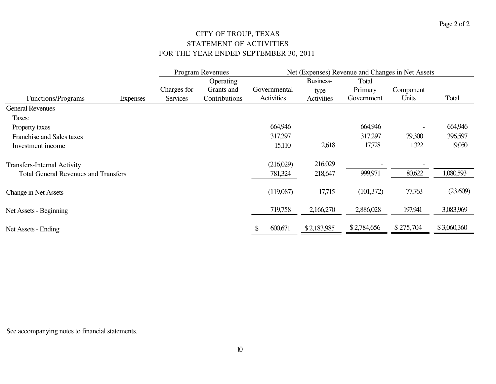# CITY OF TROUP, TEXAS STATEMENT OF ACTIVITIES FOR THE YEAR ENDED SEPTEMBER 30, 2011

|                                             |                 |                                | Program Revenues        |                   |                    | Net (Expenses) Revenue and Changes in Net Assets |                    |             |  |
|---------------------------------------------|-----------------|--------------------------------|-------------------------|-------------------|--------------------|--------------------------------------------------|--------------------|-------------|--|
|                                             |                 |                                | Operating<br>Grants and | Governmental      | <b>Business-</b>   | Total                                            |                    |             |  |
| Functions/Programs                          | <b>Expenses</b> | Charges for<br><b>Services</b> | Contributions           | <b>Activities</b> | type<br>Activities | Primary<br>Government                            | Component<br>Units | Total       |  |
| <b>General Revenues</b>                     |                 |                                |                         |                   |                    |                                                  |                    |             |  |
| Taxes:                                      |                 |                                |                         |                   |                    |                                                  |                    |             |  |
| Property taxes                              |                 |                                |                         | 664,946           |                    | 664,946                                          |                    | 664,946     |  |
| Franchise and Sales taxes                   |                 |                                |                         | 317,297           |                    | 317,297                                          | 79,300             | 396,597     |  |
| Investment income                           |                 |                                |                         | 15,110            | 2,618              | 17,728                                           | 1,322              | 19,050      |  |
| <b>Transfers-Internal Activity</b>          |                 |                                |                         | (216,029)         | 216,029            |                                                  |                    |             |  |
| <b>Total General Revenues and Transfers</b> |                 |                                |                         | 781,324           | 218,647            | 999,971                                          | 80,622             | 1,080,593   |  |
| <b>Change in Net Assets</b>                 |                 |                                |                         | (119,087)         | 17,715             | (101,372)                                        | 77,763             | (23,609)    |  |
| Net Assets - Beginning                      |                 |                                |                         | 719,758           | 2,166,270          | 2,886,028                                        | 197,941            | 3,083,969   |  |
| Net Assets - Ending                         |                 |                                |                         | 600,671           | \$2,183,985        | \$2,784,656                                      | \$275,704          | \$3,060,360 |  |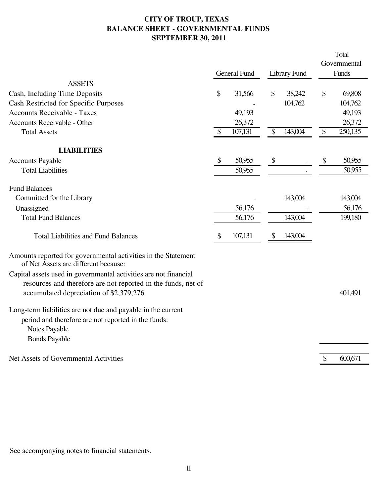# **CITY OF TROUP, TEXAS BALANCE SHEET - GOVERNMENTAL FUNDS SEPTEMBER 30, 2011**

|                                                                                                       |               |                           |                     | Total         |
|-------------------------------------------------------------------------------------------------------|---------------|---------------------------|---------------------|---------------|
|                                                                                                       |               |                           |                     | Governmental  |
|                                                                                                       | General Fund  |                           | <b>Library Fund</b> | Funds         |
| <b>ASSETS</b>                                                                                         |               |                           |                     |               |
| Cash, Including Time Deposits                                                                         | \$<br>31,566  | \$                        | 38,242              | \$<br>69,808  |
| Cash Restricted for Specific Purposes                                                                 |               |                           | 104,762             | 104,762       |
| <b>Accounts Receivable - Taxes</b>                                                                    | 49,193        |                           |                     | 49,193        |
| Accounts Receivable - Other                                                                           | 26,372        |                           |                     | 26,372        |
| <b>Total Assets</b>                                                                                   | \$<br>107,131 | \$                        | 143,004             | \$<br>250,135 |
| <b>LIABILITIES</b>                                                                                    |               |                           |                     |               |
| <b>Accounts Payable</b>                                                                               | \$<br>50,955  | $\boldsymbol{\mathsf{S}}$ |                     | \$<br>50,955  |
| <b>Total Liabilities</b>                                                                              | 50,955        |                           |                     | 50,955        |
| <b>Fund Balances</b>                                                                                  |               |                           |                     |               |
|                                                                                                       |               |                           | 143,004             |               |
| Committed for the Library                                                                             |               |                           |                     | 143,004       |
| Unassigned                                                                                            | 56,176        |                           |                     | 56,176        |
| <b>Total Fund Balances</b>                                                                            | 56,176        |                           | 143,004             | 199,180       |
| <b>Total Liabilities and Fund Balances</b>                                                            | \$<br>107,131 | \$                        | 143,004             |               |
| Amounts reported for governmental activities in the Statement<br>of Net Assets are different because: |               |                           |                     |               |
| Capital assets used in governmental activities are not financial                                      |               |                           |                     |               |
| resources and therefore are not reported in the funds, net of                                         |               |                           |                     |               |
| accumulated depreciation of \$2,379,276                                                               |               |                           |                     | 401,491       |
| Long-term liabilities are not due and payable in the current                                          |               |                           |                     |               |
| period and therefore are not reported in the funds:                                                   |               |                           |                     |               |
| Notes Payable                                                                                         |               |                           |                     |               |
| <b>Bonds Payable</b>                                                                                  |               |                           |                     |               |
|                                                                                                       |               |                           |                     |               |
| Net Assets of Governmental Activities                                                                 |               |                           |                     | \$<br>600,671 |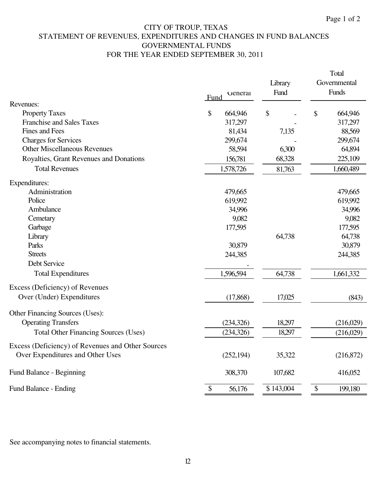## CITY OF TROUP, TEXAS STATEMENT OF REVENUES, EXPENDITURES AND CHANGES IN FUND BALANCES GOVERNMENTAL FUNDS FOR THE YEAR ENDED SEPTEMBER 30, 2011

|                                                   | Fund          | General    | Library<br>Fund | Total<br>Governmental<br>Funds |
|---------------------------------------------------|---------------|------------|-----------------|--------------------------------|
| Revenues:                                         |               |            |                 |                                |
| <b>Property Taxes</b>                             | \$            | 664,946    | \$              | \$<br>664,946                  |
| <b>Franchise and Sales Taxes</b>                  |               | 317,297    |                 | 317,297                        |
| Fines and Fees                                    |               | 81,434     | 7,135           | 88,569                         |
| <b>Charges for Services</b>                       |               | 299,674    |                 | 299,674                        |
| <b>Other Miscellaneous Revenues</b>               |               | 58,594     | 6,300           | 64,894                         |
| Royalties, Grant Revenues and Donations           |               | 156,781    | 68,328          | 225,109                        |
| <b>Total Revenues</b>                             |               | 1,578,726  | 81,763          | 1,660,489                      |
| Expenditures:                                     |               |            |                 |                                |
| Administration                                    |               | 479,665    |                 | 479,665                        |
| Police                                            |               | 619,992    |                 | 619,992                        |
| Ambulance                                         |               | 34,996     |                 | 34,996                         |
| Cemetary                                          |               | 9,082      |                 | 9,082                          |
| Garbage                                           |               | 177,595    |                 | 177,595                        |
| Library                                           |               |            | 64,738          | 64,738                         |
| Parks                                             |               | 30,879     |                 | 30,879                         |
| <b>Streets</b>                                    |               | 244,385    |                 | 244,385                        |
| Debt Service                                      |               |            |                 |                                |
| <b>Total Expenditures</b>                         |               | 1,596,594  | 64,738          | 1,661,332                      |
| Excess (Deficiency) of Revenues                   |               |            |                 |                                |
| Over (Under) Expenditures                         |               | (17, 868)  | 17,025          | (843)                          |
| Other Financing Sources (Uses):                   |               |            |                 |                                |
| <b>Operating Transfers</b>                        |               | (234, 326) | 18,297          | (216,029)                      |
| <b>Total Other Financing Sources (Uses)</b>       |               | (234, 326) | 18,297          | (216,029)                      |
| Excess (Deficiency) of Revenues and Other Sources |               |            |                 |                                |
| Over Expenditures and Other Uses                  |               | (252, 194) | 35,322          | (216,872)                      |
| Fund Balance - Beginning                          |               | 308,370    | 107,682         | 416,052                        |
| Fund Balance - Ending                             | $\mathcal{S}$ | 56,176     | \$143,004       | \$<br>199,180                  |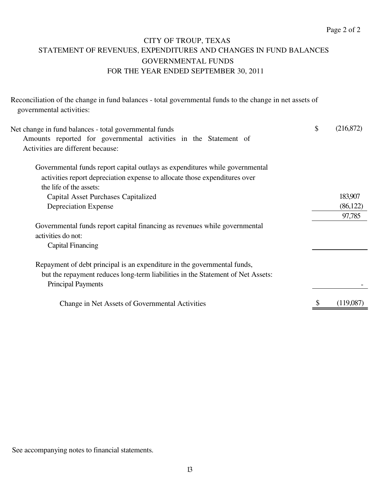# CITY OF TROUP, TEXAS STATEMENT OF REVENUES, EXPENDITURES AND CHANGES IN FUND BALANCES GOVERNMENTAL FUNDS FOR THE YEAR ENDED SEPTEMBER 30, 2011

| Reconciliation of the change in fund balances - total governmental funds to the change in net assets of<br>governmental activities:                                                      |                 |
|------------------------------------------------------------------------------------------------------------------------------------------------------------------------------------------|-----------------|
| Net change in fund balances - total governmental funds<br>Amounts reported for governmental activities in the Statement of<br>Activities are different because:                          | \$<br>(216,872) |
| Governmental funds report capital outlays as expenditures while governmental<br>activities report depreciation expense to allocate those expenditures over<br>the life of the assets:    |                 |
| Capital Asset Purchases Capitalized                                                                                                                                                      | 183,907         |
| Depreciation Expense                                                                                                                                                                     | (86,122)        |
|                                                                                                                                                                                          | 97,785          |
| Governmental funds report capital financing as revenues while governmental<br>activities do not:<br>Capital Financing                                                                    |                 |
| Repayment of debt principal is an expenditure in the governmental funds,<br>but the repayment reduces long-term liabilities in the Statement of Net Assets:<br><b>Principal Payments</b> |                 |
| Change in Net Assets of Governmental Activities                                                                                                                                          | (119,087)       |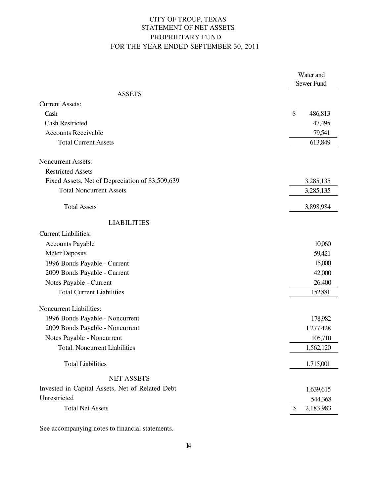## CITY OF TROUP, TEXAS STATEMENT OF NET ASSETS PROPRIETARY FUND FOR THE YEAR ENDED SEPTEMBER 30, 2011

|                                                  | Water and<br>Sewer Fund |  |
|--------------------------------------------------|-------------------------|--|
| <b>ASSETS</b>                                    |                         |  |
| <b>Current Assets:</b>                           |                         |  |
| Cash                                             | \$<br>486,813           |  |
| <b>Cash Restricted</b>                           | 47,495                  |  |
| <b>Accounts Receivable</b>                       | 79,541                  |  |
| <b>Total Current Assets</b>                      | 613,849                 |  |
| <b>Noncurrent Assets:</b>                        |                         |  |
| <b>Restricted Assets</b>                         |                         |  |
| Fixed Assets, Net of Depreciation of \$3,509,639 | 3,285,135               |  |
| <b>Total Noncurrent Assets</b>                   | 3,285,135               |  |
| <b>Total Assets</b>                              | 3,898,984               |  |
| <b>LIABILITIES</b>                               |                         |  |
| <b>Current Liabilities:</b>                      |                         |  |
| <b>Accounts Payable</b>                          | 10,060                  |  |
| <b>Meter Deposits</b>                            | 59,421                  |  |
| 1996 Bonds Payable - Current                     | 15,000                  |  |
| 2009 Bonds Payable - Current                     | 42,000                  |  |
| Notes Payable - Current                          | 26,400                  |  |
| <b>Total Current Liabilities</b>                 | 152,881                 |  |
| Noncurrent Liabilities:                          |                         |  |
| 1996 Bonds Payable - Noncurrent                  | 178,982                 |  |
| 2009 Bonds Payable - Noncurrent                  | 1,277,428               |  |
| Notes Payable - Noncurrent                       | 105,710                 |  |
| <b>Total. Noncurrent Liabilities</b>             | 1,562,120               |  |
| <b>Total Liabilities</b>                         | 1,715,001               |  |
| <b>NET ASSETS</b>                                |                         |  |
| Invested in Capital Assets, Net of Related Debt  | 1,639,615               |  |
| Unrestricted                                     | 544,368                 |  |
| <b>Total Net Assets</b>                          | 2,183,983<br>\$         |  |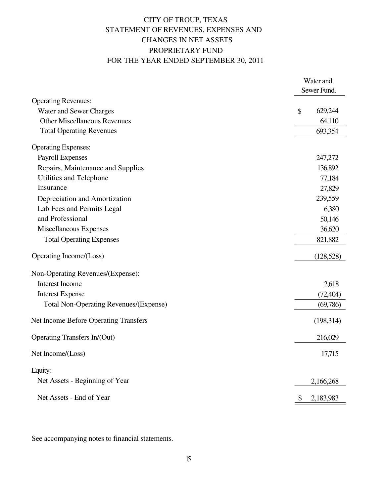# CITY OF TROUP, TEXAS STATEMENT OF REVENUES, EXPENSES AND CHANGES IN NET ASSETS PROPRIETARY FUND FOR THE YEAR ENDED SEPTEMBER 30, 2011

|                                               | Water and     |  |
|-----------------------------------------------|---------------|--|
|                                               | Sewer Fund.   |  |
| <b>Operating Revenues:</b>                    |               |  |
| Water and Sewer Charges                       | \$<br>629,244 |  |
| <b>Other Miscellaneous Revenues</b>           | 64,110        |  |
| <b>Total Operating Revenues</b>               | 693,354       |  |
| <b>Operating Expenses:</b>                    |               |  |
| <b>Payroll Expenses</b>                       | 247,272       |  |
| Repairs, Maintenance and Supplies             | 136,892       |  |
| Utilities and Telephone                       | 77,184        |  |
| Insurance                                     | 27,829        |  |
| Depreciation and Amortization                 | 239,559       |  |
| Lab Fees and Permits Legal                    | 6,380         |  |
| and Professional                              | 50,146        |  |
| Miscellaneous Expenses                        | 36,620        |  |
| <b>Total Operating Expenses</b>               | 821,882       |  |
| Operating Income/(Loss)                       | (128,528)     |  |
| Non-Operating Revenues/(Expense):             |               |  |
| <b>Interest Income</b>                        | 2,618         |  |
| <b>Interest Expense</b>                       | (72, 404)     |  |
| <b>Total Non-Operating Revenues/(Expense)</b> | (69,786)      |  |
| <b>Net Income Before Operating Transfers</b>  | (198,314)     |  |
| Operating Transfers In/(Out)                  | 216,029       |  |
| Net Income/(Loss)                             | 17,715        |  |
| Equity:                                       |               |  |
| Net Assets - Beginning of Year                | 2,166,268     |  |
| Net Assets - End of Year                      | 2,183,983     |  |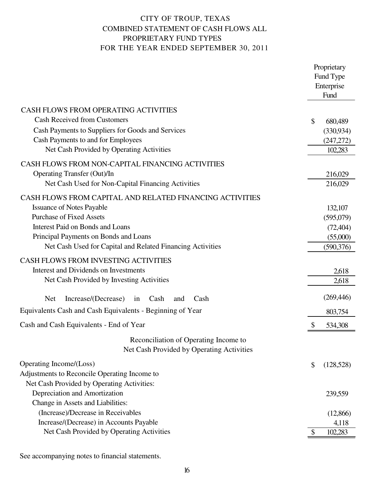# CITY OF TROUP, TEXAS COMBINED STATEMENT OF CASH FLOWS ALL PROPRIETARY FUND TYPES FOR THE YEAR ENDED SEPTEMBER 30, 2011

|                                                                | Proprietary     |
|----------------------------------------------------------------|-----------------|
|                                                                | Fund Type       |
|                                                                | Enterprise      |
|                                                                | Fund            |
| CASH FLOWS FROM OPERATING ACTIVITIES                           |                 |
| <b>Cash Received from Customers</b>                            | \$<br>680,489   |
| Cash Payments to Suppliers for Goods and Services              | (330,934)       |
| Cash Payments to and for Employees                             | (247,272)       |
| Net Cash Provided by Operating Activities                      | 102,283         |
| CASH FLOWS FROM NON-CAPITAL FINANCING ACTIVITIES               |                 |
| <b>Operating Transfer (Out)/In</b>                             | 216,029         |
| Net Cash Used for Non-Capital Financing Activities             | 216,029         |
| CASH FLOWS FROM CAPITAL AND RELATED FINANCING ACTIVITIES       |                 |
| <b>Issuance of Notes Payable</b>                               | 132,107         |
| <b>Purchase of Fixed Assets</b>                                | (595,079)       |
| <b>Interest Paid on Bonds and Loans</b>                        | (72, 404)       |
| Principal Payments on Bonds and Loans                          | (55,000)        |
| Net Cash Used for Capital and Related Financing Activities     | (590, 376)      |
| CASH FLOWS FROM INVESTING ACTIVITIES                           |                 |
| Interest and Dividends on Investments                          | 2,618           |
| Net Cash Provided by Investing Activities                      | 2,618           |
|                                                                |                 |
| Increase/(Decrease)<br><b>Net</b><br>Cash<br>Cash<br>in<br>and | (269, 446)      |
| Equivalents Cash and Cash Equivalents - Beginning of Year      | 803,754         |
| Cash and Cash Equivalents - End of Year                        | 534,308         |
| Reconciliation of Operating Income to                          |                 |
| Net Cash Provided by Operating Activities                      |                 |
| Operating Income/(Loss)                                        | \$<br>(128,528) |
| Adjustments to Reconcile Operating Income to                   |                 |
| Net Cash Provided by Operating Activities:                     |                 |
| Depreciation and Amortization                                  | 239,559         |
| Change in Assets and Liabilities:                              |                 |
| (Increase)/Decrease in Receivables                             | (12,866)        |
| Increase/(Decrease) in Accounts Payable                        | 4,118           |
| Net Cash Provided by Operating Activities                      | \$<br>102,283   |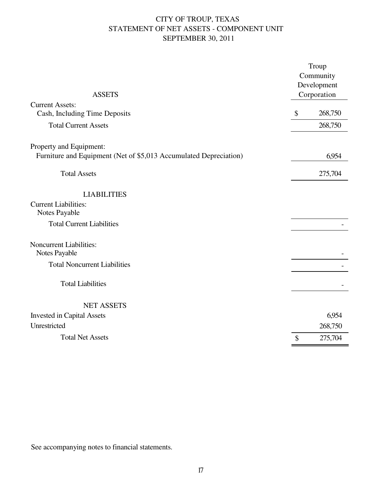# CITY OF TROUP, TEXAS STATEMENT OF NET ASSETS - COMPONENT UNIT SEPTEMBER 30, 2011

|                                                                   | Troup         |
|-------------------------------------------------------------------|---------------|
|                                                                   | Community     |
|                                                                   | Development   |
| <b>ASSETS</b>                                                     | Corporation   |
| <b>Current Assets:</b>                                            |               |
| Cash, Including Time Deposits                                     | \$<br>268,750 |
| <b>Total Current Assets</b>                                       | 268,750       |
| Property and Equipment:                                           |               |
| Furniture and Equipment (Net of \$5,013 Accumulated Depreciation) | 6,954         |
| <b>Total Assets</b>                                               | 275,704       |
| <b>LIABILITIES</b>                                                |               |
| <b>Current Liabilities:</b><br>Notes Payable                      |               |
| <b>Total Current Liabilities</b>                                  |               |
| <b>Noncurrent Liabilities:</b><br>Notes Payable                   |               |
| <b>Total Noncurrent Liabilities</b>                               |               |
| <b>Total Liabilities</b>                                          |               |
| <b>NET ASSETS</b>                                                 |               |
| <b>Invested in Capital Assets</b>                                 | 6,954         |
| Unrestricted                                                      | 268,750       |
| <b>Total Net Assets</b>                                           | \$<br>275,704 |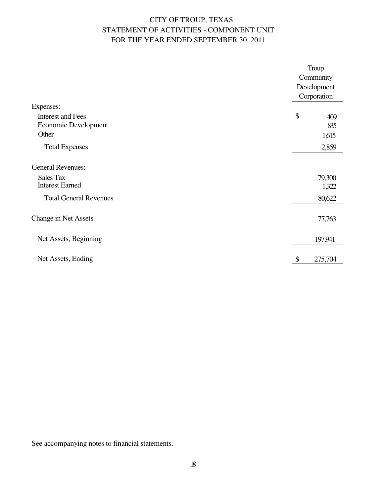# CITY OF TROUP, TEXAS STATEMENT OF ACTIVITIES - COMPONENT UNIT FOR THE YEAR ENDED SEPTEMBER 30, 2011

|                               | Troup         |
|-------------------------------|---------------|
|                               | Community     |
|                               | Development   |
|                               | Corporation   |
| Expenses:                     |               |
| <b>Interest and Fees</b>      | \$<br>409     |
| Economic Development          | 835           |
| Other                         | 1,615         |
| <b>Total Expenses</b>         | 2,859         |
| <b>General Revenues:</b>      |               |
| <b>Sales Tax</b>              | 79,300        |
| <b>Interest Earned</b>        | 1,322         |
| <b>Total General Revenues</b> | 80,622        |
| <b>Change in Net Assets</b>   | 77,763        |
| Net Assets, Beginning         | 197,941       |
| Net Assets, Ending            | 275,704<br>\$ |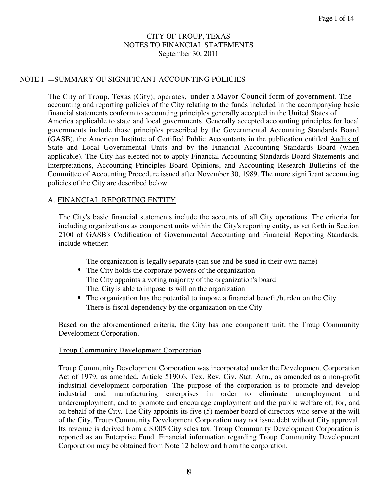## NOTE 1 —SUMMARY OF SIGNIFICANT ACCOUNTING POLICIES

The City of Troup, Texas (City), operates, under a Mayor-Council form of government. The accounting and reporting policies of the City relating to the funds included in the accompanying basic financial statements conform to accounting principles generally accepted in the United States of America applicable to state and local governments. Generally accepted accounting principles for local governments include those principles prescribed by the Governmental Accounting Standards Board (GASB), the American Institute of Certified Public Accountants in the publication entitled Audits of State and Local Governmental Units and by the Financial Accounting Standards Board (when applicable). The City has elected not to apply Financial Accounting Standards Board Statements and Interpretations, Accounting Principles Board Opinions, and Accounting Research Bulletins of the Committee of Accounting Procedure issued after November 30, 1989. The more significant accounting policies of the City are described below.

#### A. FINANCIAL REPORTING ENTITY

The City's basic financial statements include the accounts of all City operations. The criteria for including organizations as component units within the City's reporting entity, as set forth in Section 2100 of GASB's Codification of Governmental Accounting and Financial Reporting Standards, include whether:

- The organization is legally separate (can sue and be sued in their own name)
- The City holds the corporate powers of the organization The City appoints a voting majority of the organization's board The. City is able to impose its will on the organization
- The organization has the potential to impose a financial benefit/burden on the City There is fiscal dependency by the organization on the City

Based on the aforementioned criteria, the City has one component unit, the Troup Community Development Corporation.

#### Troup Community Development Corporation

Troup Community Development Corporation was incorporated under the Development Corporation Act of 1979, as amended, Article 5190.6, Tex. Rev. Civ. Stat. Ann., as amended as a non-profit industrial development corporation. The purpose of the corporation is to promote and develop industrial and manufacturing enterprises in order to eliminate unemployment and underemployment, and to promote and encourage employment and the public welfare of, for, and on behalf of the City. The City appoints its five (5) member board of directors who serve at the will of the City. Troup Community Development Corporation may not issue debt without City approval. Its revenue is derived from a \$.005 City sales tax. Troup Community Development Corporation is reported as an Enterprise Fund. Financial information regarding Troup Community Development Corporation may be obtained from Note 12 below and from the corporation.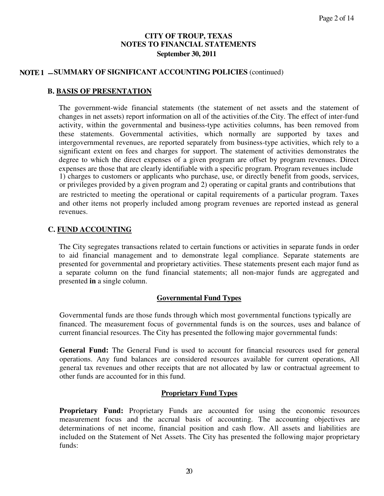## **NOTE 1 —SUMMARY OF SIGNIFICANT ACCOUNTING POLICIES** (continued)

#### **B. BASIS OF PRESENTATION**

The government-wide financial statements (the statement of net assets and the statement of changes in net assets) report information on all of the activities of.the City. The effect of inter-fund activity, within the governmental and business-type activities columns, has been removed from these statements. Governmental activities, which normally are supported by taxes and intergovernmental revenues, are reported separately from business-type activities, which rely to a significant extent on fees and charges for support. The statement of activities demonstrates the degree to which the direct expenses of a given program are offset by program revenues. Direct expenses are those that are clearly identifiable with a specific program. Program revenues include 1) charges to customers or applicants who purchase, use, or directly benefit from goods, services, or privileges provided by a given program and 2) operating or capital grants and contributions that are restricted to meeting the operational or capital requirements of a particular program. Taxes and other items not properly included among program revenues are reported instead as general revenues.

#### **C. FUND ACCOUNTING**

The City segregates transactions related to certain functions or activities in separate funds in order to aid financial management and to demonstrate legal compliance. Separate statements are presented for governmental and proprietary activities. These statements present each major fund as a separate column on the fund financial statements; all non-major funds are aggregated and presented **in** a single column.

## **Governmental Fund Types**

Governmental funds are those funds through which most governmental functions typically are financed. The measurement focus of governmental funds is on the sources, uses and balance of current financial resources. The City has presented the following major governmental funds:

**General Fund:** The General Fund is used to account for financial resources used for general operations. Any fund balances are considered resources available for current operations, All general tax revenues and other receipts that are not allocated by law or contractual agreement to other funds are accounted for in this fund.

#### **Proprietary Fund Types**

**Proprietary Fund:** Proprietary Funds are accounted for using the economic resources measurement focus and the accrual basis of accounting. The accounting objectives are determinations of net income, financial position and cash flow. All assets and liabilities are included on the Statement of Net Assets. The City has presented the following major proprietary funds: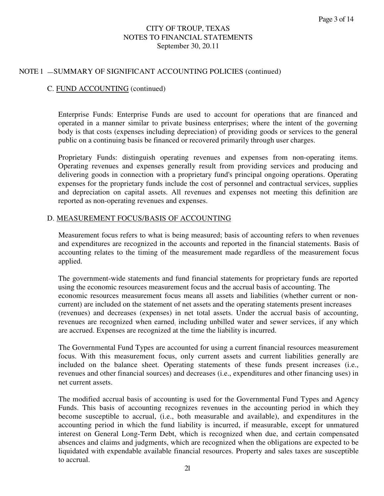#### NOTE 1 —SUMMARY OF SIGNIFICANT ACCOUNTING POLICIES (continued)

#### C. FUND ACCOUNTING (continued)

Enterprise Funds: Enterprise Funds are used to account for operations that are financed and operated in a manner similar to private business enterprises; where the intent of the governing body is that costs (expenses including depreciation) of providing goods or services to the general public on a continuing basis be financed or recovered primarily through user charges.

Proprietary Funds: distinguish operating revenues and expenses from non-operating items. Operating revenues and expenses generally result from providing services and producing and delivering goods in connection with a proprietary fund's principal ongoing operations. Operating expenses for the proprietary funds include the cost of personnel and contractual services, supplies and depreciation on capital assets. All revenues and expenses not meeting this definition are reported as non-operating revenues and expenses.

#### D. MEASUREMENT FOCUS/BASIS OF ACCOUNTING

Measurement focus refers to what is being measured; basis of accounting refers to when revenues and expenditures are recognized in the accounts and reported in the financial statements. Basis of accounting relates to the timing of the measurement made regardless of the measurement focus applied.

The government-wide statements and fund financial statements for proprietary funds are reported using the economic resources measurement focus and the accrual basis of accounting. The economic resources measurement focus means all assets and liabilities (whether current or noncurrent) are included on the statement of net assets and the operating statements present increases (revenues) and decreases (expenses) in net total assets. Under the accrual basis of accounting, revenues are recognized when earned; including unbilled water and sewer services, if any which are accrued. Expenses are recognized at the time the liability is incurred.

The Governmental Fund Types are accounted for using a current financial resources measurement focus. With this measurement focus, only current assets and current liabilities generally are included on the balance sheet. Operating statements of these funds present increases (i.e., revenues and other financial sources) and decreases (i.e., expenditures and other financing uses) in net current assets.

The modified accrual basis of accounting is used for the Governmental Fund Types and Agency Funds. This basis of accounting recognizes revenues in the accounting period in which they become susceptible to accrual, (i.e., both measurable and available), and expenditures in the accounting period in which the fund liability is incurred, if measurable, except for unmatured interest on General Long-Term Debt, which is recognized when due, and certain compensated absences and claims and judgments, which are recognized when the obligations are expected to be liquidated with expendable available financial resources. Property and sales taxes are susceptible to accrual.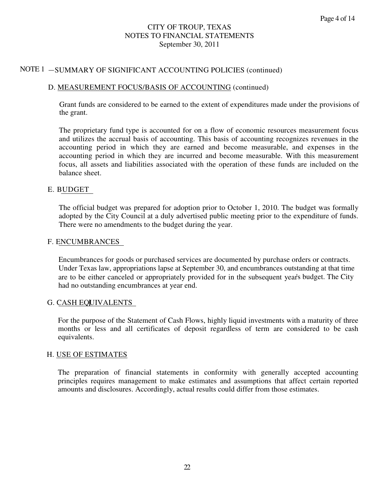# NOTE 1 —SUMMARY OF SIGNIFICANT ACCOUNTING POLICIES (continued)

#### D. MEASUREMENT FOCUS/BASIS OF ACCOUNTING (continued)

Grant funds are considered to be earned to the extent of expenditures made under the provisions of the grant.

The proprietary fund type is accounted for on a flow of economic resources measurement focus and utilizes the accrual basis of accounting. This basis of accounting recognizes revenues in the accounting period in which they are earned and become measurable, and expenses in the accounting period in which they are incurred and become measurable. With this measurement focus, all assets and liabilities associated with the operation of these funds are included on the balance sheet.

#### E. BUDGET

The official budget was prepared for adoption prior to October 1, 2010. The budget was formally adopted by the City Council at a duly advertised public meeting prior to the expenditure of funds. There were no amendments to the budget during the year.

#### F. ENCUMBRANCES

Encumbrances for goods or purchased services are documented by purchase orders or contracts. Under Texas law, appropriations lapse at September 30, and encumbrances outstanding at that time are to be either canceled or appropriately provided for in the subsequent year's budget. The City had no outstanding encumbrances at year end.

#### G. CASH EQUIVALENTS

For the purpose of the Statement of Cash Flows, highly liquid investments with a maturity of three months or less and all certificates of deposit regardless of term are considered to be cash equivalents.

#### H. USE OF ESTIMATES

The preparation of financial statements in conformity with generally accepted accounting principles requires management to make estimates and assumptions that affect certain reported amounts and disclosures. Accordingly, actual results could differ from those estimates.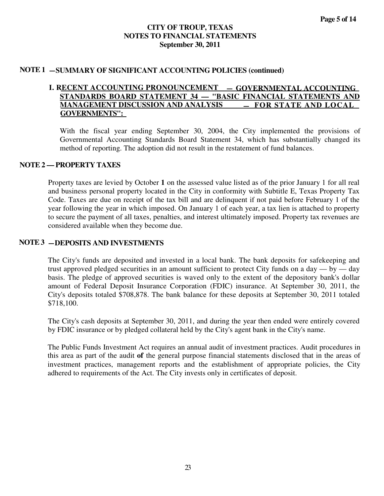## **NOTE 1 —SUMMARY OF SIGNIFICANT ACCOUNTING POLICIES (continued)**

#### **I. RECENT ACCOUNTING PRONOUNCEMENT — GOVERNMENTAL ACCOUNTING STANDARDS BOARD STATEMENT 34 — "BASIC FINANCIAL STATEMENTS AND MANAGEMENT DISCUSSION AND ANALYSIS — FOR STATE AND LOCAL GOVERNMENTS":**

With the fiscal year ending September 30, 2004, the City implemented the provisions of Governmental Accounting Standards Board Statement 34, which has substantially changed its method of reporting. The adoption did not result in the restatement of fund balances.

#### **NOTE 2 — PROPERTY TAXES**

Property taxes are levied by October **1** on the assessed value listed as of the prior January 1 for all real and business personal property located in the City in conformity with Subtitle E, Texas Property Tax Code. Taxes are due on receipt of the tax bill and are delinquent if not paid before February 1 of the year following the year in which imposed. On January 1 of each year, a tax lien is attached to property to secure the payment of all taxes, penalties, and interest ultimately imposed. Property tax revenues are considered available when they become due.

#### **NOTE 3 —DEPOSITS AND INVESTMENTS**

The City's funds are deposited and invested in a local bank. The bank deposits for safekeeping and trust approved pledged securities in an amount sufficient to protect City funds on a day — by — day basis. The pledge of approved securities is waved only to the extent of the depository bank's dollar amount of Federal Deposit Insurance Corporation (FDIC) insurance. At September 30, 2011, the City's deposits totaled \$708,878. The bank balance for these deposits at September 30, 2011 totaled \$718,100.

The City's cash deposits at September 30, 2011, and during the year then ended were entirely covered by FDIC insurance or by pledged collateral held by the City's agent bank in the City's name.

The Public Funds Investment Act requires an annual audit of investment practices. Audit procedures in this area as part of the audit **of** the general purpose financial statements disclosed that in the areas of investment practices, management reports and the establishment of appropriate policies, the City adhered to requirements of the Act. The City invests only in certificates of deposit.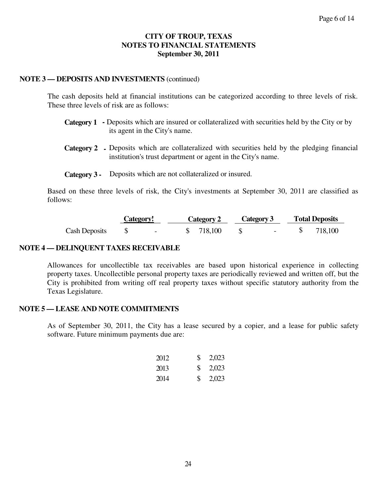## **NOTE 3 — DEPOSITS AND INVESTMENTS** (continued)

The cash deposits held at financial institutions can be categorized according to three levels of risk. These three levels of risk are as follows:

- **Category 1 -** Deposits which are insured or collateralized with securities held by the City or by its agent in the City's name.
- **Category 2** Deposits which are collateralized with securities held by the pledging financial institution's trust department or agent in the City's name.
- **Category 3 -** Deposits which are not collateralized or insured.

Based on these three levels of risk, the City's investments at September 30, 2011 are classified as follows:

|                      | Category! |                          | Category 2 | Category 3               | <b>Total Deposits</b> |
|----------------------|-----------|--------------------------|------------|--------------------------|-----------------------|
| <b>Cash Deposits</b> |           | $\overline{\phantom{0}}$ | 718,100    | $\overline{\phantom{0}}$ | 718,100               |

#### **NOTE 4 — DELINQUENT TAXES RECEIVABLE**

Allowances for uncollectible tax receivables are based upon historical experience in collecting property taxes. Uncollectible personal property taxes are periodically reviewed and written off, but the City is prohibited from writing off real property taxes without specific statutory authority from the Texas Legislature.

#### **NOTE 5 — LEASE AND NOTE COMMITMENTS**

As of September 30, 2011, the City has a lease secured by a copier, and a lease for public safety software. Future minimum payments due are:

| 2012 | \$           | 2,023 |
|------|--------------|-------|
| 2013 | <sup>S</sup> | 2,023 |
| 2014 | S            | 2,023 |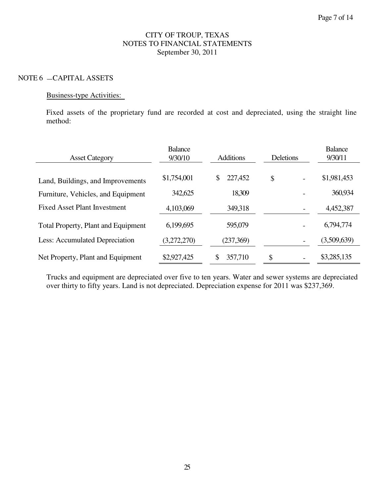#### NOTE 6 —CAPITAL ASSETS

#### Business-type Activities:

Fixed assets of the proprietary fund are recorded at cost and depreciated, using the straight line method:

| <b>Asset Category</b>               | <b>Balance</b><br>9/30/10 | <b>Additions</b> | <b>Deletions</b> | <b>Balance</b><br>9/30/11 |
|-------------------------------------|---------------------------|------------------|------------------|---------------------------|
| Land, Buildings, and Improvements   | \$1,754,001               | 227,452          | \$               | \$1,981,453               |
| Furniture, Vehicles, and Equipment  | 342,625                   | 18,309           |                  | 360,934                   |
| <b>Fixed Asset Plant Investment</b> | 4,103,069                 | 349,318          |                  | 4,452,387                 |
| Total Property, Plant and Equipment | 6,199,695                 | 595,079          |                  | 6,794,774                 |
| Less: Accumulated Depreciation      | (3,272,270)               | (237,369)        |                  | (3,509,639)               |
| Net Property, Plant and Equipment   | \$2,927,425               | 357,710          | \$               | \$3,285,135               |

Trucks and equipment are depreciated over five to ten years. Water and sewer systems are depreciated over thirty to fifty years. Land is not depreciated. Depreciation expense for 2011 was \$237,369.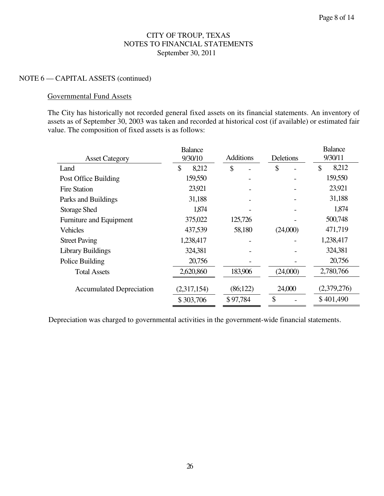#### NOTE 6 — CAPITAL ASSETS (continued)

#### Governmental Fund Assets

The City has historically not recorded general fixed assets on its financial statements. An inventory of assets as of September 30, 2003 was taken and recorded at historical cost (if available) or estimated fair value. The composition of fixed assets is as follows:

|                                 | <b>Balance</b> |                  |           | <b>Balance</b> |  |
|---------------------------------|----------------|------------------|-----------|----------------|--|
| <b>Asset Category</b>           | 9/30/10        | <b>Additions</b> | Deletions | 9/30/11        |  |
| Land                            | \$<br>8,212    | \$               | \$        | 8,212<br>\$    |  |
| Post Office Building            | 159,550        |                  |           | 159,550        |  |
| <b>Fire Station</b>             | 23,921         |                  |           | 23,921         |  |
| Parks and Buildings             | 31,188         |                  |           | 31,188         |  |
| <b>Storage Shed</b>             | 1,874          |                  |           | 1,874          |  |
| Furniture and Equipment         | 375,022        | 125,726          |           | 500,748        |  |
| <b>Vehicles</b>                 | 437,539        | 58,180           | (24,000)  | 471,719        |  |
| <b>Street Paving</b>            | 1,238,417      |                  |           | 1,238,417      |  |
| <b>Library Buildings</b>        | 324,381        |                  |           | 324,381        |  |
| Police Building                 | 20,756         |                  |           | 20,756         |  |
| <b>Total Assets</b>             | 2,620,860      | 183,906          | (24,000)  | 2,780,766      |  |
| <b>Accumulated Depreciation</b> | (2,317,154)    | (86;122)         | 24,000    | (2,379,276)    |  |
|                                 | \$303,706      | \$97,784         | \$        | \$401,490      |  |

Depreciation was charged to governmental activities in the government-wide financial statements.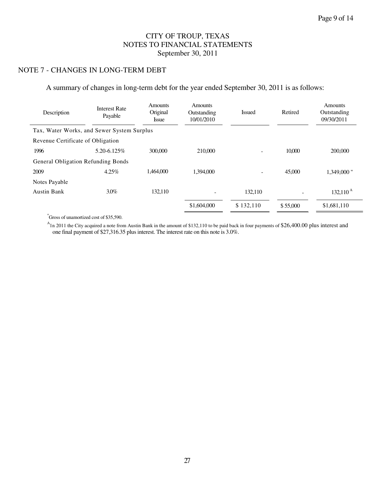## NOTE 7 - CHANGES IN LONG-TERM DEBT

A summary of changes in long-term debt for the year ended September 30, 2011 is as follows:

| Description                                | <b>Interest Rate</b><br>Payable | Amounts<br>Original<br><b>Issue</b> | Amounts<br>Outstanding<br>10/01/2010 | <b>Issued</b> | Retired  | <b>Amounts</b><br>Outstanding<br>09/30/2011 |
|--------------------------------------------|---------------------------------|-------------------------------------|--------------------------------------|---------------|----------|---------------------------------------------|
| Tax, Water Works, and Sewer System Surplus |                                 |                                     |                                      |               |          |                                             |
| Revenue Certificate of Obligation          |                                 |                                     |                                      |               |          |                                             |
| 1996                                       | 5.20-6.125%                     | 300,000                             | 210,000                              |               | 10,000   | 200,000                                     |
| General Obligation Refunding Bonds         |                                 |                                     |                                      |               |          |                                             |
| 2009                                       | $4.25\%$                        | 1.464.000                           | 1.394,000                            |               | 45,000   | 1,349,000"                                  |
| Notes Payable                              |                                 |                                     |                                      |               |          |                                             |
| <b>Austin Bank</b>                         | $3.0\%$                         | 132,110                             |                                      | 132,110       |          | $132,110^{A}$                               |
|                                            |                                 |                                     | \$1,604,000                          | \$132,110     | \$55,000 | \$1,681,110                                 |

\* Gross of unamortized cost of \$35,590.

 $A_{1n}$  2011 the City acquired a note from Austin Bank in the amount of \$132,110 to be paid back in four payments of \$26,400.00 plus interest and one final payment of \$27,316.35 plus interest. The interest rate on this note is 3.0%.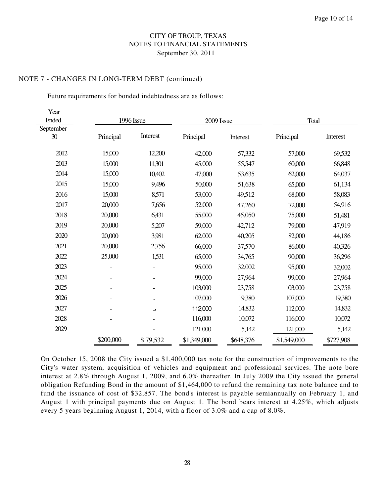#### NOTE 7 - CHANGES IN LONG-TERM DEBT (continued)

| Future requirements for bonded indebtedness are as follows: |  |  |
|-------------------------------------------------------------|--|--|
|-------------------------------------------------------------|--|--|

| Year<br>Ended   | 1996 Issue |                          | 2009 Issue  |           | Total       |           |
|-----------------|------------|--------------------------|-------------|-----------|-------------|-----------|
| September<br>30 | Principal  | Interest                 | Principal   | Interest  | Principal   | Interest  |
| 2012            | 15,000     | 12,200                   | 42,000      | 57,332    | 57,000      | 69,532    |
| 2013            | 15,000     | 11,301                   | 45,000      | 55,547    | 60,000      | 66,848    |
| 2014            | 15,000     | 10,402                   | 47,000      | 53,635    | 62,000      | 64,037    |
| 2015            | 15,000     | 9,496                    | 50,000      | 51,638    | 65,000      | 61,134    |
| 2016            | 15,000     | 8,571                    | 53,000      | 49,512    | 68,000      | 58,083    |
| 2017            | 20,000     | 7,656                    | 52,000      | 47,260    | 72,000      | 54,916    |
| 2018            | 20,000     | 6,431                    | 55,000      | 45,050    | 75,000      | 51,481    |
| 2019            | 20,000     | 5,207                    | 59,000      | 42,712    | 79,000      | 47,919    |
| 2020            | 20,000     | 3,981                    | 62,000      | 40,205    | 82,000      | 44,186    |
| 2021            | 20,000     | 2,756                    | 66,000      | 37,570    | 86,000      | 40,326    |
| 2022            | 25,000     | 1,531                    | 65,000      | 34,765    | 90,000      | 36,296    |
| 2023            |            | $\overline{\phantom{0}}$ | 95,000      | 32,002    | 95,000      | 32,002    |
| 2024            |            |                          | 99,000      | 27,964    | 99,000      | 27,964    |
| 2025            |            |                          | 103,000     | 23,758    | 103,000     | 23,758    |
| 2026            |            |                          | 107,000     | 19,380    | 107,000     | 19,380    |
| 2027            |            | $\rightarrow$            | 112,000     | 14,832    | 112,000     | 14,832    |
| 2028            |            |                          | 116,000     | 10,072    | 116,000     | 10,072    |
| 2029            |            |                          | 121,000     | 5,142     | 121,000     | 5,142     |
|                 | \$200,000  | \$79,532                 | \$1,349,000 | \$648,376 | \$1,549,000 | \$727,908 |

On October 15, 2008 the City issued a \$1,400,000 tax note for the construction of improvements to the City's water system, acquisition of vehicles and equipment and professional services. The note bore interest at 2.8% through August 1, 2009, and 6.0% thereafter. In July 2009 the City issued the general obligation Refunding Bond in the amount of \$1,464,000 to refund the remaining tax note balance and to fund the issuance of cost of \$32,857. The bond's interest is payable semiannually on February 1, and August 1 with principal payments due on August 1. The bond bears interest at 4.25%, which adjusts every 5 years beginning August 1, 2014, with a floor of 3.0% and a cap of 8.0%.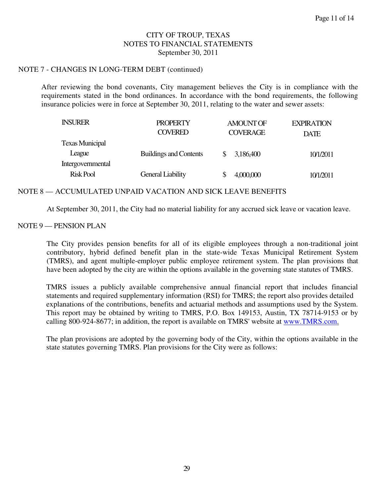#### NOTE 7 - CHANGES IN LONG-TERM DEBT (continued)

After reviewing the bond covenants, City management believes the City is in compliance with the requirements stated in the bond ordinances. In accordance with the bond requirements, the following insurance policies were in force at September 30, 2011, relating to the water and sewer assets:

| <b>INSURER</b>         | <b>PROPERTY</b>               | <b>AMOUNT OF</b> | <b>EXPIRATION</b> |  |
|------------------------|-------------------------------|------------------|-------------------|--|
|                        | <b>COVERED</b>                | <b>COVERAGE</b>  | <b>DATE</b>       |  |
| <b>Texas Municipal</b> |                               |                  |                   |  |
| League                 | <b>Buildings and Contents</b> | 3,186,400        | 10/1/2011         |  |
| Intergovernmental      |                               |                  |                   |  |
| <b>Risk Pool</b>       | <b>General Liability</b>      | 4,000,000        | 10/1/2011         |  |

#### NOTE 8 — ACCUMULATED UNPAID VACATION AND SICK LEAVE BENEFITS

At September 30, 2011, the City had no material liability for any accrued sick leave or vacation leave.

#### NOTE 9 — PENSION PLAN

The City provides pension benefits for all of its eligible employees through a non-traditional joint contributory, hybrid defined benefit plan in the state-wide Texas Municipal Retirement System (TMRS), and agent multiple-employer public employee retirement system. The plan provisions that have been adopted by the city are within the options available in the governing state statutes of TMRS.

TMRS issues a publicly available comprehensive annual financial report that includes financial statements and required supplementary information (RSI) for TMRS; the report also provides detailed explanations of the contributions, benefits and actuarial methods and assumptions used by the System. This report may be obtained by writing to TMRS, P.O. Box 149153, Austin, TX 78714-9153 or by calling 800-924-8677; in addition, the report is available on TMRS' website at www.TMRS.com.

The plan provisions are adopted by the governing body of the City, within the options available in the state statutes governing TMRS. Plan provisions for the City were as follows: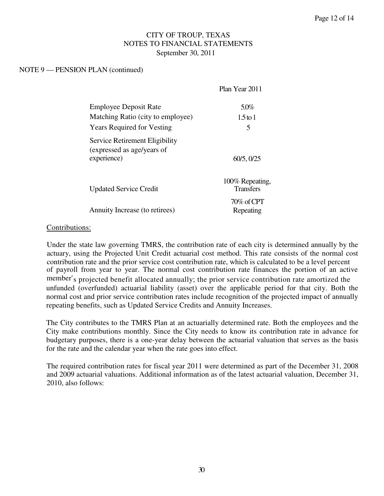#### NOTE 9 — PENSION PLAN (continued)

|                                                                             | Plan Year 2011                      |
|-----------------------------------------------------------------------------|-------------------------------------|
| <b>Employee Deposit Rate</b>                                                | 5.0%                                |
| Matching Ratio (city to employee)                                           | $1.5 \text{ to } 1$                 |
| <b>Years Required for Vesting</b>                                           | 5                                   |
| Service Retirement Eligibility<br>(expressed as age/years of<br>experience) | 60/5, 0/25                          |
|                                                                             |                                     |
| <b>Updated Service Credit</b>                                               | 100% Repeating,<br><b>Transfers</b> |
| Annuity Increase (to retirees)                                              | 70% of CPT<br>Repeating             |

#### Contributions:

Under the state law governing TMRS, the contribution rate of each city is determined annually by the actuary, using the Projected Unit Credit actuarial cost method. This rate consists of the normal cost contribution rate and the prior service cost contribution rate, which is calculated to be a level percent of payroll from year to year. The normal cost contribution rate finances the portion of an active member's projected benefit allocated annually; the prior service contribution rate amortized the unfunded (overfunded) actuarial liability (asset) over the applicable period for that city. Both the normal cost and prior service contribution rates include recognition of the projected impact of annually repeating benefits, such as Updated Service Credits and Annuity Increases.

The City contributes to the TMRS Plan at an actuarially determined rate. Both the employees and the City make contributions monthly. Since the City needs to know its contribution rate in advance for budgetary purposes, there is a one-year delay between the actuarial valuation that serves as the basis for the rate and the calendar year when the rate goes into effect.

The required contribution rates for fiscal year 2011 were determined as part of the December 31, 2008 and 2009 actuarial valuations. Additional information as of the latest actuarial valuation, December 31, 2010, also follows: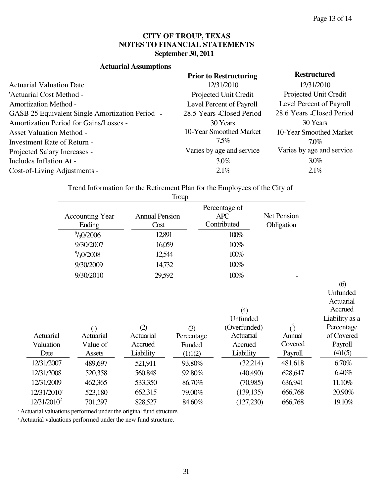#### **Actuarial Assumptions**

|                                                 | <b>Prior to Restructuring</b> | <b>Restructured</b>       |
|-------------------------------------------------|-------------------------------|---------------------------|
| <b>Actuarial Valuation Date</b>                 | 12/31/2010                    | 12/31/2010                |
| 'Actuarial Cost Method -                        | Projected Unit Credit         | Projected Unit Credit     |
| <b>Amortization Method -</b>                    | Level Percent of Payroll      | Level Percent of Payroll  |
| GASB 25 Equivalent Single Amortization Period - | 28.5 Years -Closed Period     | 28.6 Years Closed Period  |
| Amortization Period for Gains/Losses -          | 30 Years                      | 30 Years                  |
| <b>Asset Valuation Method -</b>                 | 10-Year Smoothed Market       | 10-Year Smoothed Market   |
| Investment Rate of Return -                     | $7.5\%$                       | $7.0\%$                   |
| Projected Salary Increases -                    | Varies by age and service     | Varies by age and service |
| Includes Inflation At -                         | $3.0\%$                       | $3.0\%$                   |
| Cost-of-Living Adjustments -                    | 2.1%                          | $2.1\%$                   |

Trend Information for the Retirement Plan for the Employees of the City of

|                                |                                                   |                                          | Troup                                  |                                                   |                                          |                                                |
|--------------------------------|---------------------------------------------------|------------------------------------------|----------------------------------------|---------------------------------------------------|------------------------------------------|------------------------------------------------|
|                                | <b>Accounting Year</b><br>Ending                  | <b>Annual Pension</b><br>Cost            |                                        | Percentage of<br><b>APC</b><br>Contributed        | Net Pension<br>Obligation                |                                                |
|                                | $\frac{9}{3}0/2006$                               | 12,891                                   |                                        | 100%                                              |                                          |                                                |
|                                | 9/30/2007                                         | 16,059                                   |                                        | 100%                                              |                                          |                                                |
|                                | $\frac{9}{3}0/2008$                               | 12,544                                   |                                        | 100%                                              |                                          |                                                |
|                                | 9/30/2009                                         | 14,732                                   |                                        | 100%                                              |                                          |                                                |
|                                | 9/30/2010                                         | 29,592                                   |                                        | 100%                                              |                                          |                                                |
|                                |                                                   |                                          |                                        |                                                   |                                          | (6)<br>Unfunded<br>Actuarial<br>Accrued        |
|                                |                                                   |                                          |                                        | (4)<br>Unfunded                                   |                                          | Liability as a                                 |
| Actuarial<br>Valuation<br>Date | $\binom{1}{1}$<br>Actuarial<br>Value of<br>Assets | (2)<br>Actuarial<br>Accrued<br>Liability | (3)<br>Percentage<br>Funded<br>(1)1(2) | (Overfunded)<br>Actuarial<br>Accrued<br>Liability | $\delta$<br>Annual<br>Covered<br>Payroll | Percentage<br>of Covered<br>Payroll<br>(4)1(5) |
| 12/31/2007                     | 489,697                                           | 521,911                                  | 93.80%                                 | (32,214)                                          | 481,618                                  | 6.70%                                          |
| 12/31/2008                     | 520,358                                           | 560,848                                  | 92.80%                                 | (40, 490)                                         | 628,647                                  | 6.40%                                          |
| 12/31/2009                     | 462,365                                           | 533,350                                  | 86.70%                                 | (70,985)                                          | 636,941                                  | 11.10%                                         |
| 12/31/2010'                    | 523,180                                           | 662,315                                  | 79.00%                                 | (139, 135)                                        | 666,768                                  | 20.90%                                         |
| 12/31/2010 <sup>2</sup>        | 701,297                                           | 828,527                                  | 84.60%                                 | (127, 230)                                        | 666,768                                  | 19.10%                                         |

1 Actuarial valuations performed under the original fund structure.

2 Actuarial valuations performed under the new fund structure.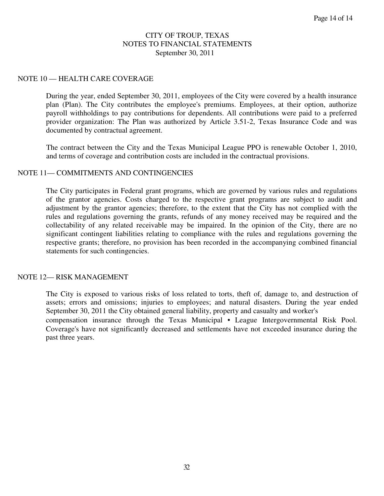#### NOTE 10 — HEALTH CARE COVERAGE

During the year, ended September 30, 2011, employees of the City were covered by a health insurance plan (Plan). The City contributes the employee's premiums. Employees, at their option, authorize payroll withholdings to pay contributions for dependents. All contributions were paid to a preferred provider organization: The Plan was authorized by Article 3.51-2, Texas Insurance Code and was documented by contractual agreement.

The contract between the City and the Texas Municipal League PPO is renewable October 1, 2010, and terms of coverage and contribution costs are included in the contractual provisions.

#### NOTE 11— COMMITMENTS AND CONTINGENCIES

The City participates in Federal grant programs, which are governed by various rules and regulations of the grantor agencies. Costs charged to the respective grant programs are subject to audit and adjustment by the grantor agencies; therefore, to the extent that the City has not complied with the rules and regulations governing the grants, refunds of any money received may be required and the collectability of any related receivable may be impaired. In the opinion of the City, there are no significant contingent liabilities relating to compliance with the rules and regulations governing the respective grants; therefore, no provision has been recorded in the accompanying combined financial statements for such contingencies.

#### NOTE 12— RISK MANAGEMENT

The City is exposed to various risks of loss related to torts, theft of, damage to, and destruction of assets; errors and omissions; injuries to employees; and natural disasters. During the year ended September 30, 2011 the City obtained general liability, property and casualty and worker's compensation insurance through the Texas Municipal • League Intergovernmental Risk Pool. Coverage's have not significantly decreased and settlements have not exceeded insurance during the past three years.